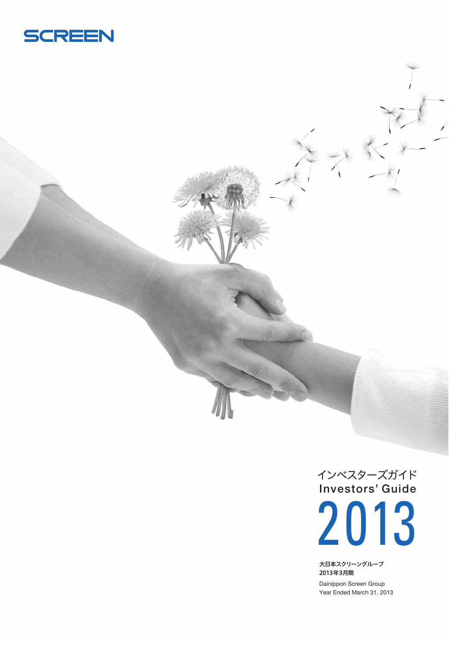

**Investors' Guide** インベスターズガイド 2013

大日本スクリーングループ 2013年3月期

Dainippon Screen Group Year Ended March 31, 2013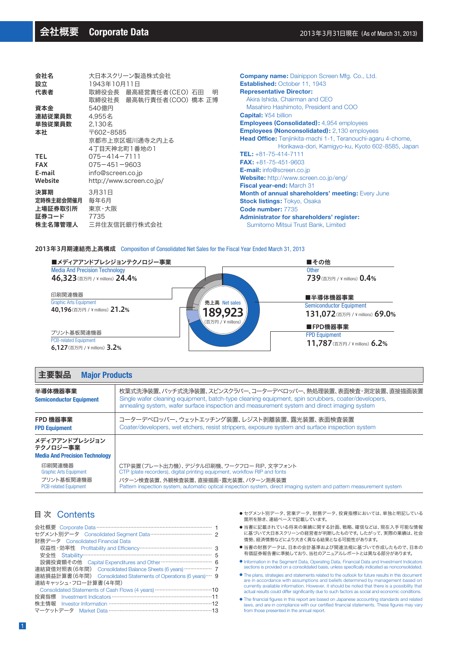$\mathbb{R}^2$  . The set

| 会社名        | 大日本スクリーン製造株式会社             |            |  |  |  |
|------------|----------------------------|------------|--|--|--|
| 設立         | 1943年10月11日                | E:         |  |  |  |
| 代表者        | 取締役会長 最高経営責任者(CEO) 石田<br>明 | R          |  |  |  |
|            | 取締役社長 最高執行責任者(COO) 橋本 正博   |            |  |  |  |
| 資本金        | 540億円                      |            |  |  |  |
| 連結従業員数     | 4.955名                     | C.         |  |  |  |
| 単独従業員数     | 2.130名                     | ы          |  |  |  |
| 本社         | 〒602-8585                  | ы          |  |  |  |
|            | 京都市上京区堀川通寺之内上る             | н          |  |  |  |
|            | 4丁目天神北町1番地の1               |            |  |  |  |
| <b>TEL</b> | $075 - 414 - 7111$         | т          |  |  |  |
| <b>FAX</b> | $075 - 451 - 9603$         | F)         |  |  |  |
| E-mail     | info@screen.co.jp          | в          |  |  |  |
| Website    | http://www.screen.co.jp/   | W          |  |  |  |
|            |                            | Fi         |  |  |  |
| 決算期        | 3月31日                      | М          |  |  |  |
| 定時株主総会開催月  | 毎年6月                       | <b>S</b> t |  |  |  |
| 上場証券取引所    | 東京・大阪                      | C.         |  |  |  |
| 証券コード      | 7735                       | A۱         |  |  |  |
| 株主名簿管理人    | 三井住友信託銀行株式会社               |            |  |  |  |
|            |                            |            |  |  |  |

and and the state of the

**ompany name:** Dainippon Screen Mfg. Co., Ltd. **Established:** October 11, 1943 **Representative Director:** Akira Ishida, Chairman and CEO Masahiro Hashimoto, President and COO **Capital:** ¥54 billion **Employees (Consolidated):** 4,954 employees **Employees (Nonconsolidated):** 2,130 employees ead Office: Tenjinkita-machi 1-1, Teranouchi-agaru 4-chome, Horikawa-dori, Kamigyo-ku, Kyoto 602-8585, Japan **TEL:** +81-75-414-7111 **FAX:** +81-75-451-9603 **E-mail:** info@screen.co.jp **Website:** http://www.screen.co.jp/eng/ **Fiscal year-end:** March 31 **Month of annual shareholders' meeting:** Every June **Stock listings:** Tokyo, Osaka **Code number:** 7735 **Administrator for shareholders' register:** Sumitomo Mitsui Trust Bank, Limited

#### 2013年3月期連結売上高構成 Composition of Consolidated Net Sales for the Fiscal Year Ended March 31, 2013



### 主要製品 **Major Products**

| 枚葉式洗浄装置、バッチ式洗浄装置、スピンスクラバー、コーターデベロッパー、熱処理装置、表面検査・測定装置、直接描画装置<br>Single wafer cleaning equipment, batch-type cleaning equipment, spin scrubbers, coater/developers,<br>annealing system, wafer surface inspection and measurement system and direct imaging system                    |
|-------------------------------------------------------------------------------------------------------------------------------------------------------------------------------------------------------------------------------------------------------------------------------------|
| コーターデベロッパー、ウェットエッチング装置、レジスト剥離装置、露光装置、表面検査装置<br>Coater/developers, wet etchers, resist strippers, exposure system and surface inspection system                                                                                                                                      |
|                                                                                                                                                                                                                                                                                     |
| CTP装置(プレート出力機)、デジタル印刷機、ワークフロー RIP、文字フォント<br>CTP (plate recorders), digital printing equipment, workflow RIP and fonts<br>パターン検査装置、外観検査装置、直接描画・露光装置、パターン測長装置<br>Pattern inspection system, automatic optical inspection system, direct imaging system and pattern measurement system |
|                                                                                                                                                                                                                                                                                     |

# 目 次 Contents

| セグメント別データ Consolidated Seqment Data ……………………………………… 2           |  |
|-----------------------------------------------------------------|--|
| 財務データ Consolidated Financial Data                               |  |
|                                                                 |  |
|                                                                 |  |
| 設備投資額その他 Capital Expenditures and Other …………………………… 6           |  |
| 連結貸借対照表(6年間) Consolidated Balance Sheets (6 years) ……………… 7     |  |
| 連結損益計算書(6年間) Consolidated Statements of Operations (6 years)… 9 |  |
| 連結キャッシュ・フロー計算書(4年間)                                             |  |
|                                                                 |  |
|                                                                 |  |
|                                                                 |  |
| マーケットデータ Market Data ………………………………………………………13                    |  |

- セグメント別データ、営業データ、財務データ、投資指標においては、単独と明記している 箇所を除き、連結ベースで記載しています。
- 当書に記載されている将来の業績に関する計画、戦略、確信などは、現在入手可能な情報 ーローに載って、・・。 ここへの未続になっていた。<br>「に基づいて大日本スクリーンの経営者が判断したものです。 したがって、実際の業績は、社会 情勢、経済情勢などにより大きく異なる結果となる可能性があります。
- 当書の財務データは、日本の会計基準および関連法規に基づいて作成したもので、日本の 有価証券報告書に準拠しており、当社のアニュアルレポートとは異なる部分があります。
- Information in the Segment Data, Operating Data, Financial Data and Investment Indicators sections is provided on a consolidated basis, unless specifically indicated as nonconsolidated. ●
- The plans, strategies and statements related to the outlook for future results in this document are in accordance with assumptions and beliefs determined by management based on currently available information. However, it should be noted that there is a possibility that actual results could differ significantly due to such factors as social and economic conditions.
- The financial figures in this report are based on Japanese accounting standards and related laws, and are in compliance with our certified financial statements. These figures may vary from those presented in the annual report.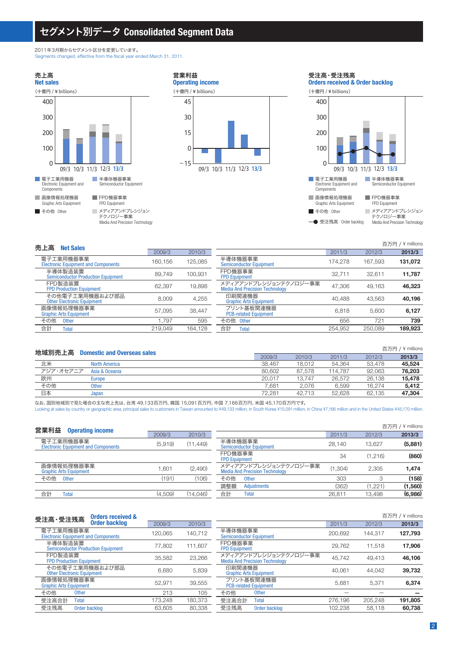# セグメント別データ **Consolidated Segment Data**

2011年3月期からセグメント区分を変更しています。 Segments changed, effective from the fiscal year ended March 31, 2011.

■ 画像情報処理機器 Graphic Arts Equipment 電子工業用機器 Electronic Equipment and Components ■ その他 Other FPD機器事業 FPD Equipment 半導体機器事業 Semiconductor Equipment メディアアンドプレシジョン テクノロジー事業 Media And Precision Technology **Net sales** 売上高 09/3 10/3 11/3 12/3 13/3 (十億円 / ¥ billions) 100 200 400 300 0





**→** 受注残高 Order backlog Media And Precision Technology

| 売上高<br><b>Net Sales</b>                                 |         |         |                                                                |         |         | 百万円 / ¥ millions |
|---------------------------------------------------------|---------|---------|----------------------------------------------------------------|---------|---------|------------------|
|                                                         | 2009/3  | 2010/3  |                                                                | 2011/3  | 2012/3  | 2013/3           |
| 電子工業用機器事業<br><b>Electronic Equipment and Components</b> | 160.156 | 125.085 | 半導体機器事業<br><b>Semiconductor Equipment</b>                      | 174.278 | 167.593 | 131,072          |
| 半導体製造装置<br><b>Semiconductor Production Equipment</b>    | 89.749  | 100,931 | FPD機器事業<br><b>FPD Equipment</b>                                | 32.711  | 32.611  | 11,787           |
| FPD製造装置<br><b>FPD Production Equipment</b>              | 62.397  | 19,898  | メディアアンドプレシジョンテクノロジー事業<br><b>Media And Precision Technology</b> | 47.306  | 49.163  | 46,323           |
| その他電子工業用機器および部品<br><b>Other Electronic Equipment</b>    | 8.009   | 4.255   | 印刷関連機器<br><b>Graphic Arts Equipment</b>                        | 40.488  | 43.563  | 40.196           |
| 画像情報処理機器事業<br><b>Graphic Arts Equipment</b>             | 57.095  | 38.447  | プリント基板関連機器<br><b>PCB-related Equipment</b>                     | 6.818   | 5.600   | 6.127            |
| その他<br><b>Other</b>                                     | .797    | 595     | その他 Other                                                      | 656     | 721     | 739              |
| 合計<br>Total                                             | 219.049 | 164.128 | 合計<br><b>Total</b>                                             | 254.952 | 250.089 | 189.923          |

| 地域別売上高    | <b>Domestic and Overseas sales</b> |        |        |         |        | 百万円 / ¥ millions |
|-----------|------------------------------------|--------|--------|---------|--------|------------------|
|           |                                    | 2009/3 | 2010/3 | 2011/3  | 2012/3 | 2013/3           |
| 北米        | <b>North America</b>               | 38.467 | 18.012 | 54.364  | 53.478 | 45.524           |
| アジア・オセアニア | Asia & Oceania                     | 80.602 | 87.578 | 114.787 | 92.063 | 76,203           |
| 欧州        | <b>Europe</b>                      | 20.017 | 13.747 | 26.572  | 26.138 | 15.478           |
| その他       | <b>Other</b>                       | 7.681  | 2.076  | 6.599   | 16.274 | 5.412            |
| 日本        | Japan                              | 72.281 | 42.713 | 52.628  | 62.135 | 47,304           |

なお、国別地域別で見た場合の主な売上先は、台湾 49,133百万円、韓国 15,091百万円、中国 7,166百万円、米国 45,170百万円です。 Looking at sales by country or geographic area, principal sales to customers in Taiwan amounted to ¥49,133 million, in South Korea ¥15,091 million, in China ¥7,166 million and in the United States ¥45,170 million.

| 営業利益<br><b>Operating income</b>                         |         |           |                                                                |         |         | 百万円 / ¥ millions |
|---------------------------------------------------------|---------|-----------|----------------------------------------------------------------|---------|---------|------------------|
|                                                         | 2009/3  | 2010/3    |                                                                | 2011/3  | 2012/3  | 2013/3           |
| 電子工業用機器事業<br><b>Electronic Equipment and Components</b> | (5.919) | (11, 449) | 半導体機器事業<br><b>Semiconductor Equipment</b>                      | 28.140  | 13.627  | (5,881)          |
|                                                         |         |           | FPD機器事業<br><b>FPD Equipment</b>                                | 34      | (1.216) | (860)            |
| 画像情報処理機器事業<br><b>Graphic Arts Equipment</b>             | .601    | (2,490)   | メディアアンドプレシジョンテクノロジー事業<br><b>Media And Precision Technology</b> | (1.304) | 2.305   | 1,474            |
| その他<br><b>Other</b>                                     | (191)   | (106)     | その他<br><b>Other</b>                                            | 303     |         | (158)            |
|                                                         |         |           | 調整額<br>Adjustments                                             | (362)   | (1.221  | (1,560)          |
| 合計<br><b>Total</b>                                      | (4,509) | (14,046)  | 合計<br>Total                                                    | 26.811  | 13,498  | (6,986)          |
|                                                         |         |           |                                                                |         |         |                  |

| <b>Orders received &amp;</b><br>受注高·受注残高                |         |         |                                                                |         | 百万円     | $/$ ¥ millions |
|---------------------------------------------------------|---------|---------|----------------------------------------------------------------|---------|---------|----------------|
| <b>Order backlog</b>                                    | 2009/3  | 2010/3  |                                                                | 2011/3  | 2012/3  | 2013/3         |
| 電子工業用機器事業<br><b>Electronic Equipment and Components</b> | 120.065 | 140.712 | 半導体機器事業<br><b>Semiconductor Equipment</b>                      | 200.692 | 144.317 | 127,793        |
| 半導体製造装置<br><b>Semiconductor Production Equipment</b>    | 77.802  | 111.607 | FPD機器事業<br><b>FPD Equipment</b>                                | 29.762  | 11.518  | 17.906         |
| FPD製浩装置<br><b>FPD Production Equipment</b>              | 35.582  | 23,266  | メディアアンドプレシジョンテクノロジー事業<br><b>Media And Precision Technology</b> | 45.742  | 49.413  | 46.106         |
| その他電子工業用機器および部品<br><b>Other Electronic Equipment</b>    | 6.680   | 5.839   | 印刷関連機器<br><b>Graphic Arts Equipment</b>                        | 40.061  | 44.042  | 39.732         |
| 画像情報処理機器事業<br><b>Graphic Arts Equipment</b>             | 52.971  | 39.555  | プリント基板関連機器<br><b>PCB-related Equipment</b>                     | 5.681   | 5.371   | 6.374          |
| その他<br><b>Other</b>                                     | 213     | 105     | その他<br><b>Other</b>                                            |         |         |                |
| 受注高合計<br>Total                                          | 173.248 | 180.373 | 受注高合計<br>Total                                                 | 276.196 | 205.248 | 191,805        |
| 受注残高<br>Order backlog                                   | 63.605  | 80.338  | 受注残高<br>Order backlog                                          | 102.238 | 58.118  | 60,738         |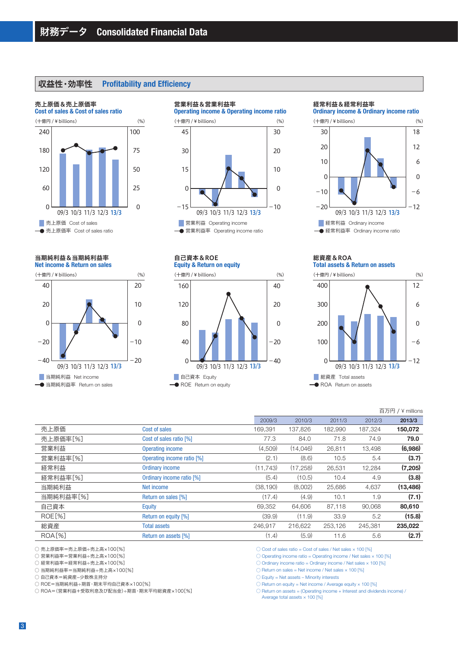# 収益性・効率性 **Profitability and Efficiency**

### **Cost of sales & Cost of sales ratio** 売上原価&売上原価率 ■ 売上原価 Cost of sales 09/3 10/3 11/3 12/3 13/3 (十億円 / ¥ billions) 60 120 240 180 0 25 50 100 75 0 売上原価率 Cost of sales ratio

**Net income & Return on sales** 当期純利益&当期純利益率





#### 09/3 10/3 11/3 12/3 13/3 **Operating income & Operating income ratio** (十億円 / ¥ billions)  $\Omega$ 15 45 30  $-15$ (%) (十億円 / ¥ billions) (%) (十億円 / ¥ billions) (%)  $\Omega$ 10 30 20  $-10$ 营業利益 Operating income 営業利益率 Operating income ratio

**Equity & Return on equity** 自己資本&ROE

営業利益&営業利益率



#### 経常利益&経常利益率

**Ordinary income & Ordinary income ratio**



#### **Total assets & Return on assets** 総資産&ROA



|           |                            |           |           |         |         | 百万円 / ¥ millions |
|-----------|----------------------------|-----------|-----------|---------|---------|------------------|
|           |                            | 2009/3    | 2010/3    | 2011/3  | 2012/3  | 2013/3           |
| 売上原価      | Cost of sales              | 169,391   | 137,826   | 182,990 | 187,324 | 150,072          |
| 売上原価率[%]  | Cost of sales ratio [%]    | 77.3      | 84.0      | 71.8    | 74.9    | 79.0             |
| 営業利益      | Operating income           | (4,509)   | (14,046)  | 26,811  | 13,498  | (6,986)          |
| 営業利益率[%]  | Operating income ratio [%] | (2.1)     | (8.6)     | 10.5    | 5.4     | (3.7)            |
| 経常利益      | <b>Ordinary income</b>     | (11.743)  | (17, 258) | 26,531  | 12,284  | (7, 205)         |
| 経常利益率[%]  | Ordinary income ratio [%]  | (5.4)     | (10.5)    | 10.4    | 4.9     | (3.8)            |
| 当期純利益     | Net income                 | (38, 190) | (8,002)   | 25,686  | 4,637   | (13, 486)        |
| 当期純利益率[%] | Return on sales [%]        | (17.4)    | (4.9)     | 10.1    | 1.9     | (7.1)            |
| 自己資本      | Equity                     | 69,352    | 64.606    | 87.118  | 90.068  | 80,610           |
| ROE[%]    | Return on equity [%]       | (39.9)    | (11.9)    | 33.9    | 5.2     | (15.8)           |
| 総資産       | <b>Total assets</b>        | 246.917   | 216,622   | 253.126 | 245,381 | 235,022          |
| $ROA[\%]$ | Return on assets [%]       | (1.4)     | (5.9)     | 11.6    | 5.6     | (2.7)            |
|           |                            |           |           |         |         |                  |

○ 売上原価率=売上原価÷売上高×100[%]

○ 営業利益率=営業利益÷売上高×100[%]

○ 経常利益率=経常利益÷売上高×100[%]

○ 当期純利益率=当期純利益÷売上高×100[%]

○ 自己資本=純資産-少数株主持分

○ ROE=当期純利益÷期首・期末平均自己資本×100[%]

○ ROA=(営業利益+受取利息及び配当金)÷期首・期末平均総資産×100[%]

 $\circlearrowright$  Cost of sales ratio = Cost of sales / Net sales  $\times$  100 [%]

 $\circlearrowright$  Operating income ratio = Operating income / Net sales  $\times$  100 [%]

 $\circlearrowright$  Ordinary income ratio = Ordinary income / Net sales  $\times$  100 [%]

 $\bigcirc$  Return on sales = Net income / Net sales  $\times$  100 [%]

 $\bigcirc$  Equity = Net assets – Minority interests

 $\bigcirc$  Return on equity = Net income / Average equity  $\times$  100 [%]

 $\bigcirc$  Return on assets = (Operating income + Interest and dividends income)  $\bigwedge$ 

Average total assets  $\times$  100 [%]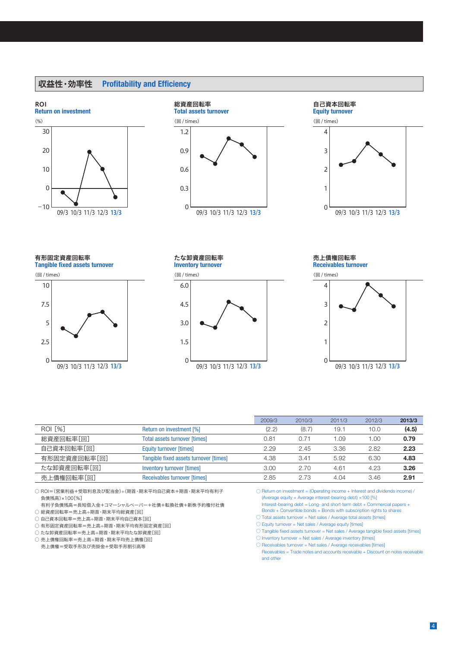# 収益性・効率性 **Profitability and Efficiency**







**Tangible fixed assets turnover** 有形固定資産回転率





**Inventory turnover**







|                |                                        | 2009/3 | 2010/3 | 2011/3 | 2012/3 | 2013/3 |
|----------------|----------------------------------------|--------|--------|--------|--------|--------|
| <b>ROI [%]</b> | Return on investment [%]               | (2.2)  | (8.7)  | 19.1   | 10.0   | (4.5)  |
| 総資産回転率[回]      | <b>Total assets turnover [times]</b>   | 0.81   | 0.71   | 1.09   | 00.1   | 0.79   |
| 自己資本回転率[回]     | <b>Equity turnover [times]</b>         | 2.29   | 2.45   | 3.36   | 2.82   | 2.23   |
| 有形固定資産回転率[回]   | Tangible fixed assets turnover [times] | 4.38   | 3.41   | 5.92   | 6.30   | 4.83   |
| たな卸資産回転率[回]    | <b>Inventory turnover [times]</b>      | 3.00   | 2.70   | 4.61   | 4.23   | 3.26   |
| 売上債権回転率[回]     | Receivables turnover [times]           | 2.85   | 2.73   | 4.04   | 3.46   | 2.91   |

○ ROI=(営業利益+受取利息及び配当金)÷(期首・期末平均自己資本+期首・期末平均有利子 負債残高)×100[%]

 有利子負債残高=長短借入金+コマーシャルペーパー+社債+転換社債+新株予約権付社債 ○ 総資産回転率=売上高÷期首・期末平均総資産[回]

○ 自己資本回転率=売上高÷期首・期末平均自己資本[回]

○ 有形固定資産回転率=売上高÷期首・期末平均有形固定資産[回]

○ たな卸資産回転率=売上高÷期首・期末平均たな卸資産[回]

○ 売上債権回転率=売上高÷期首・期末平均売上債権[回]

売上債権=受取手形及び売掛金+受取手形割引高等

 $\bigcirc$  Return on investment = (Operating income + Interest and dividends income)  $\bigwedge$ (Average equity + Average interest-bearing debt) ×100 [%] Interest-bearing debt = Long- and short-term debt + Commercial papers +

- Bonds + Convertible bonds + Bonds with subscription rights to shares
- Total assets turnover = Net sales / Average total assets [times]
- $\bigcirc$  Equity turnover = Net sales / Average equity [times]

○ Tangible fixed assets turnover = Net sales / Average tangible fixed assets [times]

 $\bigcirc$  Inventory turnover = Net sales / Average inventory [times]

○ Receivables turnover = Net sales / Average receivables [times] Receivables = Trade notes and accounts receivable + Discount on notes receivable and other

## 4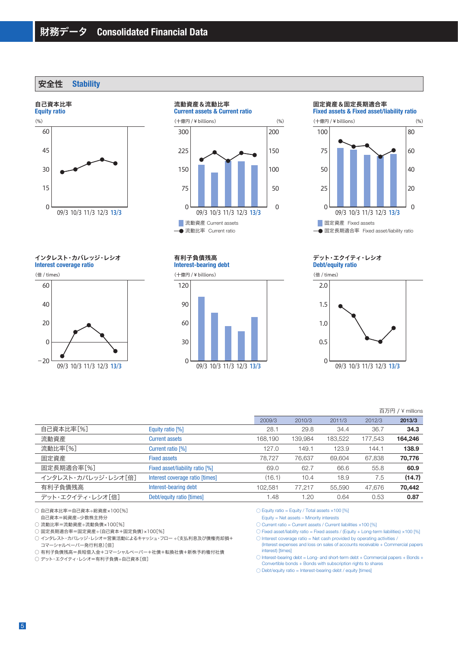安全性 **Stability**

#### 自己資本比率



インタレスト・カバレッジ・レシオ

**Interest coverage ratio**





# 流動資産&流動比率

**Current assets & Current ratio**





(十億円 / ¥ billions)



#### 固定資産&固定長期適合率

**Fixed assets & Fixed asset/liability ratio**



#### **Debt/equity ratio** デット・エクイティ・レシオ



#### 百万円 / ¥ millions

|                     |                                 | 2009/3  | 2010/3  | 2011/3  | 2012/3  | 2013/3  |
|---------------------|---------------------------------|---------|---------|---------|---------|---------|
| 自己資本比率[%]           | Equity ratio [%]                | 28.1    | 29.8    | 34.4    | 36.7    | 34.3    |
| 流動資産                | <b>Current assets</b>           | 168.190 | 139.984 | 183,522 | 177,543 | 164,246 |
| 流動比率[%]             | Current ratio [%]               | 127.0   | 149.1   | 123.9   | 144.1   | 138.9   |
| 固定資産                | <b>Fixed assets</b>             | 78.727  | 76,637  | 69.604  | 67,838  | 70,776  |
| 固定長期適合率[%]          | Fixed asset/liability ratio [%] | 69.0    | 62.7    | 66.6    | 55.8    | 60.9    |
| インタレスト・カバレッジ・レシオ「倍] | Interest coverage ratio [times] | (16.1)  | 10.4    | 18.9    | 7.5     | (14.7)  |
| 有利子負債残高             | Interest-bearing debt           | 102.581 | 77,217  | 55,590  | 47,676  | 70,442  |
| デット・エクイティ・レシオ「倍]    | Debt/equity ratio [times]       | 1.48    | 1.20    | 0.64    | 0.53    | 0.87    |
|                     |                                 |         |         |         |         |         |

○ 自己資本比率=自己資本÷総資産×100[%]

自己資本=純資産-少数株主持分

○ 流動比率=流動資産÷流動負債×100[%]

─────────────────────────────<br>○ 固定長期適合率=固定資産÷(自己資本+固定負債)×100[%]

○ インタレスト・カバレッジ・レシオ=営業活動によるキャッシュ・フロー ÷(支払利息及び債権売却損+ コマーシャルペーパー発行利息)[倍]

○ 有利子負債残高=長短借入金+コマーシャルペーパー+社債+転換社債+新株予約権付社債

○ デット・エクイティ・レシオ=有利子負債÷自己資本[倍]

 $\bigcirc$  Equity ratio = Equity / Total assets  $\times$ 100 [%]

Equity = Net assets – Minority interests

 $\circlearrowright$  Current ratio = Current assets / Current liabilities  $\times$  100 [%]

0.5

 $\Omega$ 

 $\bigcirc$  Fixed asset/liability ratio = Fixed assets / (Equity + Long-term liabilities)  $\times$ 100 [%]

 $\bigcirc$  Interest coverage ratio = Net cash provided by operating activities / (Interest expenses and loss on sales of accounts receivable + Commercial papers interest) [times]

○ Interest-bearing debt = Long- and short-term debt + Commercial papers + Bonds + Convertible bonds + Bonds with subscription rights to shares

 $\bigcirc$  Debt/equity ratio = Interest-bearing debt / equity [times]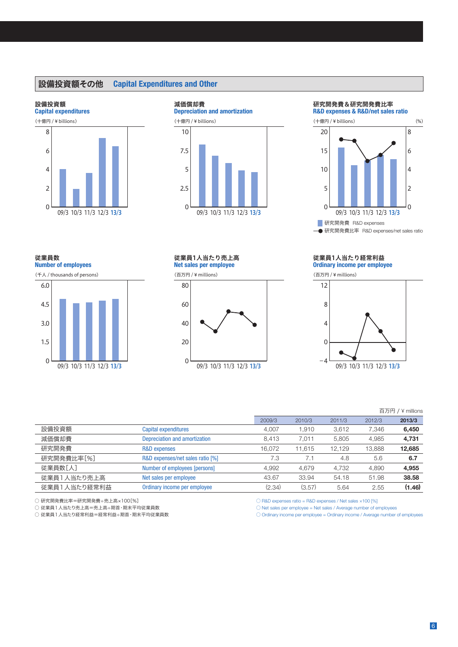# 設備投資額その他 **Capital Expenditures and Other**

#### 設備投資額



# **Depreciation and amortization** 減価償却費 (十億円 / ¥ billions) 5 10 7.5

0





# 従業員数

**Number of employees**

(千人 / thousands of persons)



#### **Net sales per employee** 従業員1人当たり売上高

(百万円 / ¥ millions)

2.5



#### **Ordinary income per employee** 従業員1人当たり経常利益

(百万円 / ¥ millions)



### 百万円 / ¥ millions

|              |                                  | 2009/3 | 2010/3 | 2011/3 | 2012/3 | 2013/3 |
|--------------|----------------------------------|--------|--------|--------|--------|--------|
| 設備投資額        | <b>Capital expenditures</b>      | 4.007  | 1.910  | 3,612  | 7.346  | 6,450  |
| 減価償却費        | Depreciation and amortization    | 8.413  | 7.011  | 5.805  | 4.985  | 4,731  |
| 研究開発費        | <b>R&amp;D</b> expenses          | 16.072 | 11.615 | 12.129 | 13.888 | 12,685 |
| 研究開発費比率[%]   | R&D expenses/net sales ratio [%] | 7.3    |        | 4.8    | 5.6    | 6.7    |
| 従業員数「人]      | Number of employees [persons]    | 4.992  | 4,679  | 4.732  | 4.890  | 4.955  |
| 従業員1人当たり売上高  | Net sales per employee           | 43.67  | 33.94  | 54.18  | 51.98  | 38.58  |
| 従業員1人当たり経常利益 | Ordinary income per employee     | (2.34) | (3.57) | 5.64   | 2.55   | (1.46) |

○ 研究開発費比率=研究開発費÷売上高×100[%]

○ 従業員1人当たり売上高=売上高÷期首・期末平均従業員数

○ 従業員1人当たり経常利益=経常利益÷期首・期末平均従業員数

 $\bigcirc$  R&D expenses ratio = R&D expenses / Net sales  $\times$ 100 [%]

 $\bigcirc$  Net sales per employee = Net sales / Average number of employees

 $\bigcirc$  Ordinary income per employee = Ordinary income / Average number of employees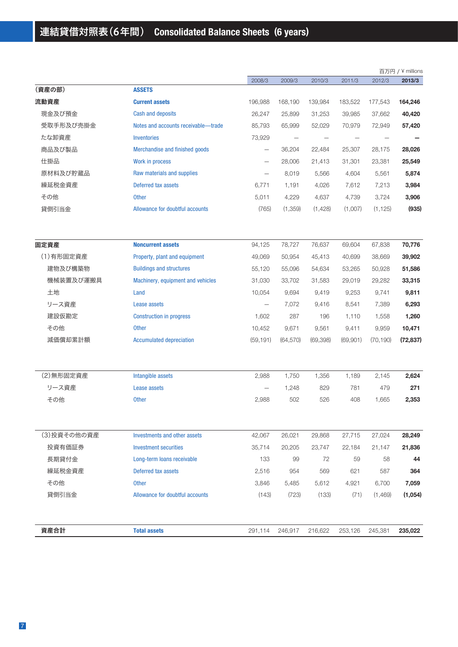|             |                                     |                          |                          |           |          |           | 百万円 / ¥ millions |
|-------------|-------------------------------------|--------------------------|--------------------------|-----------|----------|-----------|------------------|
|             |                                     | 2008/3                   | 2009/3                   | 2010/3    | 2011/3   | 2012/3    | 2013/3           |
| (資産の部)      | <b>ASSETS</b>                       |                          |                          |           |          |           |                  |
| 流動資産        | <b>Current assets</b>               | 196,988                  | 168,190                  | 139,984   | 183,522  | 177,543   | 164,246          |
| 現金及び預金      | <b>Cash and deposits</b>            | 26,247                   | 25,899                   | 31,253    | 39,985   | 37,662    | 40,420           |
| 受取手形及び売掛金   | Notes and accounts receivable-trade | 85,793                   | 65,999                   | 52,029    | 70,979   | 72,949    | 57,420           |
| たな卸資産       | <b>Inventories</b>                  | 73,929                   | $\overline{\phantom{m}}$ |           |          |           |                  |
| 商品及び製品      | Merchandise and finished goods      | $\overline{\phantom{0}}$ | 36,204                   | 22,484    | 25,307   | 28,175    | 28,026           |
| 仕掛品         | Work in process                     |                          | 28,006                   | 21,413    | 31,301   | 23,381    | 25,549           |
| 原材料及び貯蔵品    | Raw materials and supplies          |                          | 8,019                    | 5,566     | 4,604    | 5,561     | 5,874            |
| 繰延税金資産      | Deferred tax assets                 | 6,771                    | 1,191                    | 4,026     | 7,612    | 7,213     | 3,984            |
| その他         | <b>Other</b>                        | 5,011                    | 4,229                    | 4,637     | 4,739    | 3,724     | 3,906            |
| 貸倒引当金       | Allowance for doubtful accounts     | (765)                    | (1,359)                  | (1,428)   | (1,007)  | (1, 125)  | (935)            |
| 固定資産        | <b>Noncurrent assets</b>            | 94,125                   | 78,727                   | 76,637    | 69,604   | 67,838    | 70,776           |
| (1)有形固定資産   | Property, plant and equipment       | 49,069                   | 50,954                   | 45,413    | 40,699   | 38,669    | 39,902           |
| 建物及び構築物     | <b>Buildings and structures</b>     | 55,120                   | 55,096                   | 54,634    | 53,265   | 50,928    | 51,586           |
| 機械装置及び運搬具   | Machinery, equipment and vehicles   | 31,030                   | 33,702                   | 31,583    | 29,019   | 29,282    | 33,315           |
| 土地          | Land                                | 10,054                   | 9,694                    | 9,419     | 9,253    | 9,741     | 9,811            |
| リース資産       | Lease assets                        | $\overline{\phantom{0}}$ | 7,072                    | 9,416     | 8,541    | 7,389     | 6,293            |
| 建設仮勘定       | <b>Construction in progress</b>     | 1,602                    | 287                      | 196       | 1,110    | 1,558     | 1,260            |
| その他         | <b>Other</b>                        | 10,452                   | 9,671                    | 9,561     | 9,411    | 9,959     | 10,471           |
| 減価償却累計額     | <b>Accumulated depreciation</b>     | (59, 191)                | (64, 570)                | (69, 398) | (69,901) | (70, 190) | (72, 837)        |
| (2) 無形固定資産  | Intangible assets                   | 2,988                    | 1,750                    | 1,356     | 1,189    | 2,145     | 2,624            |
| リース資産       | Lease assets                        |                          | 1,248                    | 829       | 781      | 479       | 271              |
| その他         | <b>Other</b>                        | 2,988                    | 502                      | 526       | 408      | 1,665     | 2,353            |
| (3)投資その他の資産 | Investments and other assets        | 42,067                   | 26,021                   | 29,868    | 27,715   | 27,024    | 28,249           |
| 投資有価証券      | <b>Investment securities</b>        | 35,714                   | 20,205                   | 23,747    | 22,184   | 21,147    | 21,836           |
| 長期貸付金       | Long-term loans receivable          | 133                      | 99                       | 72        | 59       | 58        | 44               |
| 繰延税金資産      | Deferred tax assets                 | 2,516                    | 954                      | 569       | 621      | 587       | 364              |
| その他         | <b>Other</b>                        | 3,846                    | 5,485                    | 5,612     | 4,921    | 6,700     | 7,059            |
| 貸倒引当金       | Allowance for doubtful accounts     | (143)                    | (723)                    | (133)     | (71)     | (1,469)   | (1,054)          |
|             |                                     |                          |                          |           |          |           |                  |
| 資産合計        | <b>Total assets</b>                 | 291,114                  | 246,917                  | 216,622   | 253,126  | 245,381   | 235,022          |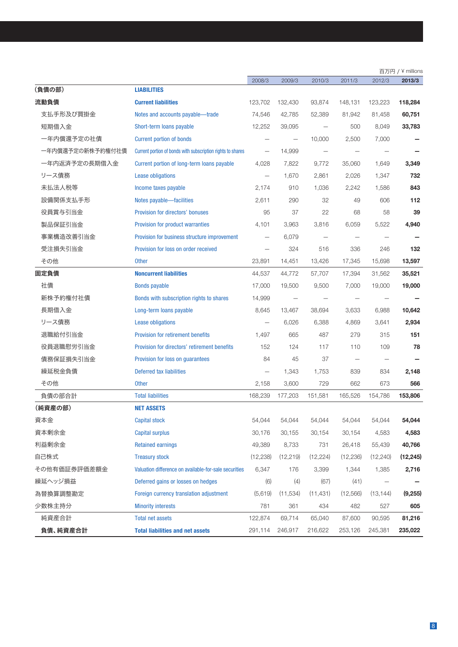|                  |                                                             |                          |           |                          |                          |           | 百万円 / ¥ millions |
|------------------|-------------------------------------------------------------|--------------------------|-----------|--------------------------|--------------------------|-----------|------------------|
|                  |                                                             | 2008/3                   | 2009/3    | 2010/3                   | 2011/3                   | 2012/3    | 2013/3           |
| (負債の部)           | <b>LIABILITIES</b>                                          |                          |           |                          |                          |           |                  |
| 流動負債             | <b>Current liabilities</b>                                  | 123,702                  | 132,430   | 93,874                   | 148,131                  | 123,223   | 118,284          |
| 支払手形及び買掛金        | Notes and accounts payable-trade                            | 74,546                   | 42,785    | 52,389                   | 81,942                   | 81,458    | 60,751           |
| 短期借入金            | Short-term loans payable                                    | 12,252                   | 39,095    |                          | 500                      | 8,049     | 33,783           |
| 一年内償還予定の社債       | <b>Current portion of bonds</b>                             |                          |           | 10,000                   | 2,500                    | 7,000     |                  |
| 一年内償還予定の新株予約権付社債 | Current portion of bonds with subscription rights to shares | $\overline{\phantom{m}}$ | 14,999    | $\overline{\phantom{0}}$ | $\overline{\phantom{0}}$ |           |                  |
| 一年内返済予定の長期借入金    | Current portion of long-term loans payable                  | 4,028                    | 7,822     | 9,772                    | 35,060                   | 1,649     | 3,349            |
| リース債務            | <b>Lease obligations</b>                                    | $\overline{\phantom{0}}$ | 1,670     | 2,861                    | 2,026                    | 1,347     | 732              |
| 未払法人税等           | Income taxes payable                                        | 2,174                    | 910       | 1,036                    | 2,242                    | 1,586     | 843              |
| 設備関係支払手形         | Notes payable-facilities                                    | 2,611                    | 290       | 32                       | 49                       | 606       | 112              |
| 役員賞与引当金          | Provision for directors' bonuses                            | 95                       | 37        | 22                       | 68                       | 58        | 39               |
| 製品保証引当金          | Provision for product warranties                            | 4,101                    | 3,963     | 3,816                    | 6,059                    | 5,522     | 4,940            |
| 事業構造改善引当金        | Provision for business structure improvement                |                          | 6,079     |                          |                          |           |                  |
| 受注損失引当金          | Provision for loss on order received                        |                          | 324       | 516                      | 336                      | 246       | 132              |
| その他              | <b>Other</b>                                                | 23,891                   | 14,451    | 13,426                   | 17,345                   | 15,698    | 13,597           |
| 固定負債             | <b>Noncurrent liabilities</b>                               | 44,537                   | 44,772    | 57,707                   | 17,394                   | 31,562    | 35,521           |
| 社債               | <b>Bonds payable</b>                                        | 17,000                   | 19,500    | 9,500                    | 7,000                    | 19,000    | 19,000           |
| 新株予約権付社債         | Bonds with subscription rights to shares                    | 14,999                   |           |                          |                          |           |                  |
| 長期借入金            | Long-term loans payable                                     | 8,645                    | 13,467    | 38,694                   | 3,633                    | 6,988     | 10,642           |
| リース債務            | <b>Lease obligations</b>                                    |                          | 6,026     | 6,388                    | 4,869                    | 3,641     | 2,934            |
| 退職給付引当金          | <b>Provision for retirement benefits</b>                    | 1,497                    | 665       | 487                      | 279                      | 315       | 151              |
| 役員退職慰労引当金        | Provision for directors' retirement benefits                | 152                      | 124       | 117                      | 110                      | 109       | 78               |
| 債務保証損失引当金        | Provision for loss on guarantees                            | 84                       | 45        | 37                       | $\overline{\phantom{0}}$ |           |                  |
| 繰延税金負債           | Deferred tax liabilities                                    |                          | 1,343     | 1,753                    | 839                      | 834       | 2,148            |
| その他              | <b>Other</b>                                                | 2,158                    | 3,600     | 729                      | 662                      | 673       | 566              |
| 負債の部合計           | <b>Total liabilities</b>                                    | 168,239                  | 177,203   | 151,581                  | 165,526                  | 154,786   | 153,806          |
| (純資産の部)          | <b>NET ASSETS</b>                                           |                          |           |                          |                          |           |                  |
| 資本金              | <b>Capital stock</b>                                        | 54,044                   | 54,044    | 54,044                   | 54,044                   | 54,044    | 54,044           |
| 資本剰余金            | <b>Capital surplus</b>                                      | 30,176                   | 30,155    | 30,154                   | 30,154                   | 4,583     | 4,583            |
| 利益剰余金            | <b>Retained earnings</b>                                    | 49,389                   | 8,733     | 731                      | 26,418                   | 55,439    | 40,766           |
| 自己株式             | <b>Treasury stock</b>                                       | (12, 238)                | (12, 219) | (12, 224)                | (12, 236)                | (12, 240) | (12, 245)        |
| その他有価証券評価差額金     | Valuation difference on available-for-sale securities       | 6,347                    | 176       | 3,399                    | 1,344                    | 1,385     | 2,716            |
| 繰延ヘッジ損益          | Deferred gains or losses on hedges                          | (6)                      | (4)       | (67)                     | (41)                     |           |                  |
| 為替換算調整勘定         | Foreign currency translation adjustment                     | (5,619)                  | (11,534)  | (11, 431)                | (12, 566)                | (13, 144) | (9,255)          |
| 少数株主持分           | <b>Minority interests</b>                                   | 781                      | 361       | 434                      | 482                      | 527       | 605              |
| 純資産合計            | <b>Total net assets</b>                                     | 122,874                  | 69,714    | 65,040                   | 87,600                   | 90,595    | 81,216           |
| 負債、純資産合計         | <b>Total liabilities and net assets</b>                     | 291,114                  | 246,917   | 216,622                  | 253,126                  | 245,381   | 235,022          |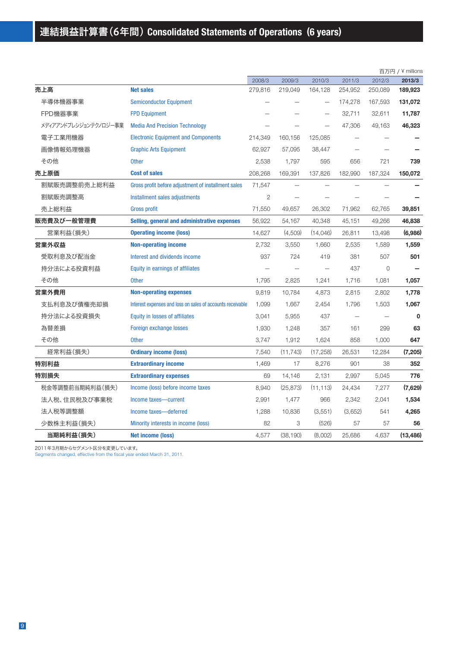|                       |                                                            |         |           |                          |         |         | 百万円 / ¥ millions |
|-----------------------|------------------------------------------------------------|---------|-----------|--------------------------|---------|---------|------------------|
|                       |                                                            | 2008/3  | 2009/3    | 2010/3                   | 2011/3  | 2012/3  | 2013/3           |
| 売上高                   | <b>Net sales</b>                                           | 279,816 | 219,049   | 164,128                  | 254,952 | 250,089 | 189,923          |
| 半導体機器事業               | <b>Semiconductor Equipment</b>                             |         |           | $\overline{\phantom{0}}$ | 174,278 | 167,593 | 131,072          |
| FPD機器事業               | <b>FPD Equipment</b>                                       |         |           |                          | 32,711  | 32,611  | 11,787           |
| メディアアンドプレシジョンテクノロジー事業 | <b>Media And Precision Technology</b>                      |         |           |                          | 47,306  | 49,163  | 46,323           |
| 電子工業用機器               | <b>Electronic Equipment and Components</b>                 | 214,349 | 160,156   | 125,085                  |         |         |                  |
| 画像情報処理機器              | <b>Graphic Arts Equipment</b>                              | 62,927  | 57,095    | 38,447                   |         |         |                  |
| その他                   | <b>Other</b>                                               | 2,538   | 1,797     | 595                      | 656     | 721     | 739              |
| 売上原価                  | <b>Cost of sales</b>                                       | 208,268 | 169,391   | 137,826                  | 182,990 | 187,324 | 150,072          |
| 割賦販売調整前売上総利益          | Gross profit before adjustment of installment sales        | 71,547  |           |                          |         |         |                  |
| 割賦販売調整高               | Installment sales adjustments                              | 2       |           |                          |         |         |                  |
| 売上総利益                 | <b>Gross profit</b>                                        | 71,550  | 49,657    | 26,302                   | 71,962  | 62,765  | 39,851           |
| 販売費及び一般管理費            | Selling, general and administrative expenses               | 56,922  | 54,167    | 40,348                   | 45,151  | 49,266  | 46,838           |
| 営業利益(損失)              | <b>Operating income (loss)</b>                             | 14,627  | (4,509)   | (14,046)                 | 26,811  | 13,498  | (6,986)          |
| 営業外収益                 | <b>Non-operating income</b>                                | 2,732   | 3,550     | 1,660                    | 2,535   | 1,589   | 1,559            |
| 受取利息及び配当金             | Interest and dividends income                              | 937     | 724       | 419                      | 381     | 507     | 501              |
| 持分法による投資利益            | Equity in earnings of affiliates                           |         |           |                          | 437     | 0       |                  |
| その他                   | <b>Other</b>                                               | 1,795   | 2,825     | 1,241                    | 1,716   | 1,081   | 1,057            |
| 営業外費用                 | <b>Non-operating expenses</b>                              | 9,819   | 10,784    | 4,873                    | 2,815   | 2,802   | 1,778            |
| 支払利息及び債権売却損           | Interest expenses and loss on sales of accounts receivable | 1,099   | 1,667     | 2,454                    | 1,796   | 1,503   | 1,067            |
| 持分法による投資損失            | <b>Equity in losses of affiliates</b>                      | 3,041   | 5,955     | 437                      |         |         | $\mathbf 0$      |
| 為替差損                  | Foreign exchange losses                                    | 1,930   | 1,248     | 357                      | 161     | 299     | 63               |
| その他                   | <b>Other</b>                                               | 3,747   | 1,912     | 1,624                    | 858     | 1,000   | 647              |
| 経常利益(損失)              | <b>Ordinary income (loss)</b>                              | 7,540   | (11, 743) | (17, 258)                | 26,531  | 12,284  | (7, 205)         |
| 特別利益                  | <b>Extraordinary income</b>                                | 1,469   | 17        | 8,276                    | 901     | 38      | 352              |
| 特別損失                  | <b>Extraordinary expenses</b>                              | 69      | 14,146    | 2,131                    | 2,997   | 5,045   | 776              |
| 税金等調整前当期純利益(損失)       | Income (loss) before income taxes                          | 8,940   | (25, 873) | (11, 113)                | 24,434  | 7,277   | (7,629)          |
| 法人税、住民税及び事業税          | Income taxes-current                                       | 2,991   | 1,477     | 966                      | 2,342   | 2,041   | 1,534            |
| 法人税等調整額               | Income taxes-deferred                                      | 1,288   | 10,836    | (3,551)                  | (3,652) | 541     | 4,265            |
| 少数株主利益(損失)            | Minority interests in income (loss)                        | 82      | 3         | (526)                    | 57      | 57      | 56               |
| 当期純利益(損失)             | <b>Net income (loss)</b>                                   | 4.577   | (38, 190) | (8.002)                  | 25.686  | 4.637   | (13.486)         |

2011年3月期からセグメント区分を変更しています。

Segments changed, effective from the fiscal year ended March 31, 2011.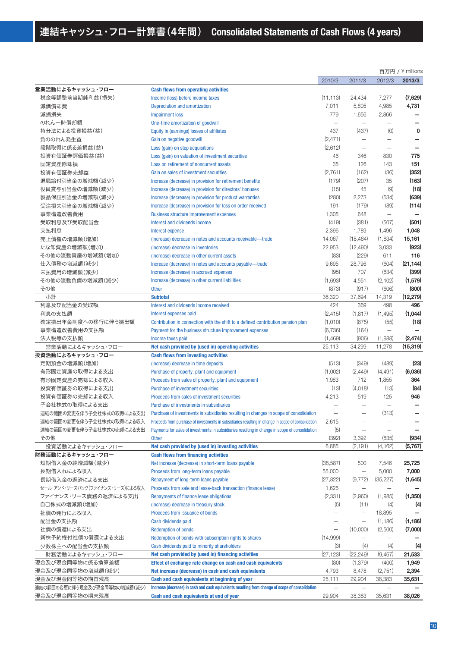|                                 |                                                                                                     |                          |                          |                          | 百万円 / ¥ millions |
|---------------------------------|-----------------------------------------------------------------------------------------------------|--------------------------|--------------------------|--------------------------|------------------|
|                                 |                                                                                                     | 2010/3                   | 2011/3                   | 2012/3                   | 2013/3           |
| 営業活動によるキャッシュ・フロー                | <b>Cash flows from operating activities</b>                                                         |                          |                          |                          |                  |
| 税金等調整前当期純利益(損失)                 | Income (loss) before income taxes                                                                   | (11, 113)                | 24,434                   | 7,277                    | (7,629)          |
| 減価償却費                           | Depreciation and amortization                                                                       | 7,011                    | 5,805                    | 4,985                    | 4,731            |
| 減損損失                            | <b>Impairment loss</b>                                                                              | 779                      | 1,656                    | 2,866                    |                  |
| のれん一時償却額                        | One-time amortization of goodwill                                                                   |                          | $\overline{\phantom{0}}$ |                          |                  |
| 持分法による投資損益(益)                   | Equity in (earnings) losses of affiliates                                                           | 437                      | (437)                    | (0)                      | 0                |
| 負ののれん発生益                        | Gain on negative goodwill                                                                           | (2, 471)                 | $\sim$                   |                          |                  |
| 段階取得に係る差損益(益)                   | Loss (gain) on step acquisitions                                                                    | (2,612)                  | $\overline{\phantom{0}}$ |                          |                  |
| 投資有価証券評価損益(益)                   | Loss (gain) on valuation of investment securities                                                   | 46                       | 346                      | 830                      | 775              |
| 固定資産除却損                         | Loss on retirement of noncurrent assets                                                             | 35                       | 126                      | 143                      | 151              |
| 投資有価証券売却益                       | Gain on sales of investment securities                                                              | (2,761)                  | (162)                    | (36)                     | (352)            |
| 退職給付引当金の増減額(減少)                 | Increase (decrease) in provision for retirement benefits                                            | (179)                    | (207)                    | 35                       | (163)            |
| 役員賞与引当金の増減額(減少)                 | Increase (decrease) in provision for directors' bonuses                                             | (15)                     | 45                       | (9)                      | (18)             |
| 製品保証引当金の増減額(減少)                 |                                                                                                     | (280)                    | 2,273                    | (534)                    | (639)            |
|                                 | Increase (decrease) in provision for product warranties                                             |                          |                          |                          |                  |
| 受注損失引当金の増減額(減少)                 | Increase (decrease) in provision for loss on order received                                         | 191                      | (179)                    | (89)                     | (114)            |
| 事業構造改善費用                        | <b>Business structure improvement expenses</b>                                                      | 1,305                    | 648                      |                          |                  |
| 受取利息及び受取配当金                     | Interest and dividends income                                                                       | (419)                    | (381)                    | (507)                    | (501)            |
| 支払利息                            | Interest expense                                                                                    | 2,396                    | 1,789                    | 1,496                    | 1,048            |
| 売上債権の増減額(増加)                    | (Increase) decrease in notes and accounts receivable-trade                                          | 14,067                   | (18, 484)                | (1,834)                  | 15,161           |
| たな卸資産の増減額(増加)                   | (Increase) decrease in inventories                                                                  | 22,953                   | (12, 490)                | 3,033                    | (923)            |
| その他の流動資産の増減額(増加)                | (Increase) decrease in other current assets                                                         | (83)                     | (229)                    | 611                      | 116              |
| 仕入債務の増減額(減少)                    | Increase (decrease) in notes and accounts payable-trade                                             | 9,695                    | 28,796                   | (604)                    | (21, 144)        |
| 未払費用の増減額(減少)                    | Increase (decrease) in accrued expenses                                                             | (95)                     | 707                      | (634)                    | (399)            |
| その他の流動負債の増減額(減少)                | Increase (decrease) in other current liabilities                                                    | (1,693)                  | 4,551                    | (2, 102)                 | (1,579)          |
| その他                             | <b>Other</b>                                                                                        | (873)                    | (917)                    | (606)                    | (800)            |
| 小計                              | <b>Subtotal</b>                                                                                     | 36,320                   | 37,694                   | 14,319                   | (12, 279)        |
| 利息及び配当金の受取額                     | Interest and dividends income received                                                              | 424                      | 369                      | 498                      | 496              |
| 利息の支払額                          | Interest expenses paid                                                                              | (2, 415)                 | (1, 817)                 | (1,495)                  | (1,044)          |
| 確定拠出年金制度への移行に伴う拠出額              | Contribution in connection with the shift to a defined contribution pension plan                    | (1,010)                  | (875)                    | (55)                     | (18)             |
| 事業構造改善費用の支払額                    | Payment for the business structure improvement expenses                                             | (6,736)                  | (164)                    | $\overline{\phantom{0}}$ |                  |
| 法人税等の支払額                        | Income taxes paid                                                                                   | (1,469)                  | (906)                    | (1,988)                  | (2, 474)         |
| 営業活動によるキャッシュ・フロー                | Net cash provided by (used in) operating activities                                                 | 25,113                   | 34,299                   | 11,278                   | (15, 319)        |
| 投資活動によるキャッシュ・フロー                | <b>Cash flows from investing activities</b>                                                         |                          |                          |                          |                  |
| 定期預金の増減額(増加)                    | (Increase) decrease in time deposits                                                                | (513)                    | (349)                    | (489)                    | (23)             |
| 有形固定資産の取得による支出                  | Purchase of property, plant and equipment                                                           | (1,002)                  | (2, 449)                 | (4,491)                  | (6,036)          |
| 有形固定資産の売却による収入                  | Proceeds from sales of property, plant and equipment                                                | 1,983                    | 712                      | 1,855                    | 364              |
| 投資有価証券の取得による支出                  | <b>Purchase of investment securities</b>                                                            | (13)                     | (4,018)                  | (13)                     | (84)             |
| 投資有価証券の売却による収入                  | Proceeds from sales of investment securities                                                        | 4,213                    | 519                      | 125                      | 946              |
| 子会社株式の取得による支出                   | Purchase of investments in subsidiaries                                                             |                          | $\overline{\phantom{0}}$ | $\overline{\phantom{0}}$ |                  |
| 運結の範囲の変更を伴う子会社株式の取得による支出        | Purchase of investments in subsidiaries resulting in changes in scope of consolidation              |                          |                          | (313)                    |                  |
| 連結の範囲の変更を伴う子会社株式の取得による収入        | Proceeds from purchase of investments in subsidiaries resulting in change in scope of consolidation | 2,615                    |                          |                          |                  |
| 連結の範囲の変更を伴う子会社株式の売却による支出        | Payments for sales of investments in subsidiaries resulting in change in scope of consolidation     | (5)                      | $\overline{\phantom{0}}$ | $\overline{\phantom{0}}$ |                  |
| その他                             | <b>Other</b>                                                                                        | (392)                    | 3,392                    | (835)                    | (934)            |
| 投資活動によるキャッシュ・フロー                | Net cash provided by (used in) investing activities                                                 | 6,885                    | (2,191)                  | (4, 162)                 | (5,767)          |
| 財務活動によるキャッシュ・フロー                | <b>Cash flows from financing activities</b>                                                         |                          |                          |                          |                  |
| 短期借入金の純増減額(減少)                  |                                                                                                     |                          |                          |                          |                  |
|                                 | Net increase (decrease) in short-term loans payable                                                 | (38, 587)                | 500                      | 7,546                    | 25,725           |
| 長期借入れによる収入                      | Proceeds from long-term loans payable                                                               | 55,000                   | $\qquad \qquad -$        | 5,000                    | 7,000            |
| 長期借入金の返済による支出                   | Repayment of long-term loans payable                                                                | (27, 822)                | (9, 772)                 | (35, 227)                | (1,645)          |
| セール・アンド・リースバック(ファイナンス・リース)による収入 | Proceeds from sale and lease-back transaction (finance lease)                                       | 1,626                    | $\overline{\phantom{0}}$ |                          |                  |
| ファイナンス・リース債務の返済による支出            | <b>Repayments of finance lease obligations</b>                                                      | (2, 331)                 | (2,960)                  | (1,985)                  | (1, 350)         |
| 自己株式の増減額(増加)                    | (Increase) decrease in treasury stock                                                               | (5)                      | (11)                     | (4)                      | (4)              |
| 社債の発行による収入                      | Proceeds from issuance of bonds                                                                     |                          |                          | 18,895                   |                  |
| 配当金の支払額                         | Cash dividends paid                                                                                 |                          | $\overline{\phantom{0}}$ | (1, 186)                 | (1, 186)         |
| 社債の償還による支出                      | <b>Redemption of bonds</b>                                                                          | $\qquad \qquad -$        | (10,000)                 | (2,500)                  | (7,000)          |
| 新株予約権付社債の償還による支出                | Redemption of bonds with subscription rights to shares                                              | (14,999)                 | $\overline{\phantom{0}}$ |                          |                  |
| 少数株主への配当金の支払額                   | Cash dividends paid to minority shareholders                                                        | (3)                      | (4)                      | (4)                      | (4)              |
| 財務活動によるキャッシュ・フロー                | Net cash provided by (used in) financing activities                                                 | (27, 123)                | (22, 249)                | (9,467)                  | 21,533           |
| 現金及び現金同等物に係る換算差額                | Effect of exchange rate change on cash and cash equivalents                                         | (80)                     | (1, 379)                 | (400)                    | 1,949            |
| 現金及び現金同等物の増減額(減少)               | Net increase (decrease) in cash and cash equivalents                                                | 4,793                    | 8,478                    | (2,751)                  | 2,394            |
| 現金及び現金同等物の期首残高                  | Cash and cash equivalents at beginning of year                                                      | 25,111                   | 29,904                   | 38,383                   | 35,631           |
| 連結の範囲の変更に伴う現金及び現金同等物の増減額(減少)    | Increase (decrease) in cash and cash equivalents resulting from change of scope of consolidation    | $\overline{\phantom{m}}$ | $\overline{\phantom{0}}$ | $\overline{\phantom{m}}$ |                  |
| 現金及び現金同等物の期末残高                  | Cash and cash equivalents at end of year                                                            | 29,904                   | 38,383                   | 35,631                   | 38,026           |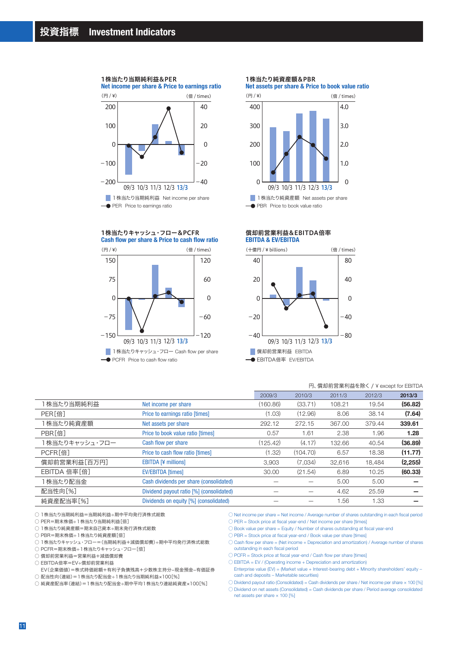#### 1株当たり当期純利益&PER

**Net income per share & Price to earnings ratio**



#### **Cash flow per share & Price to cash flow ratio** 1株当たりキャッシュ・フロー&PCFR



1株当たり純資産額&PBR

**Net assets per share & Price to book value ratio**



#### **EBITDA & EV/EBITDA** 償却前営業利益&EBITDA倍率



#### 円、償却前営業利益を除く / ¥ except for EBITDA

|                    |                                          | 2009/3   | 2010/3   | 2011/3 | 2012/3 | 2013/3   |
|--------------------|------------------------------------------|----------|----------|--------|--------|----------|
| 1 株当たり当期純利益        | Net income per share                     | (160.86) | (33.71)  | 108.21 | 19.54  | (56.82)  |
| PER <sup>[倍]</sup> | Price to earnings ratio [times]          | (1.03)   | (12.96)  | 8.06   | 38.14  | (7.64)   |
| 株当たり純資産額           | Net assets per share                     | 292.12   | 272.15   | 367.00 | 379.44 | 339.61   |
| PBR[倍]             | Price to book value ratio [times]        | 0.57     | 1.61     | 2.38   | 1.96   | 1.28     |
| 1株当たりキャッシュ・フロー     | Cash flow per share                      | (125.42) | (4.17)   | 132.66 | 40.54  | (36.89)  |
| PCFR[倍]            | Price to cash flow ratio [times]         | (1.32)   | (104.70) | 6.57   | 18.38  | (11.77)  |
| 償却前営業利益[百万円]       | <b>EBITDA [¥ millions]</b>               | 3.903    | (7.034)  | 32.616 | 18.484 | (2, 255) |
| EBITDA 倍率[倍]       | <b>EV/EBITDA</b> [times]                 | 30.00    | (21.54)  | 6.89   | 10.25  | (60.33)  |
| 1 株当たり配当金          | Cash dividends per share (consolidated)  |          |          | 5.00   | 5.00   |          |
| 配当性向[%]            | Dividend payout ratio [%] (consolidated) |          |          | 4.62   | 25.59  |          |
| 純資産配当率[%]          | Dividends on equity [%] (consolidated)   |          |          | 1.56   | 1.33   |          |
|                    |                                          |          |          |        |        |          |

○1株当たり当期純利益=当期純利益÷期中平均発行済株式総数

○ PER=期末株価÷1株当たり当期純利益[倍]

○ 1株当たり純資産額=期末自己資本÷期末発行済株式総数

○ PBR=期末株価÷1株当たり純資産額[倍]

○ 1株当たりキャッシュ・フロー=(当期純利益+減価償却費)÷期中平均発行済株式総数

○ PCFR=期末株価÷1株当たりキャッシュ・フロー[倍]

○ 償却前営業利益=営業利益+減価償却費

○ EBITDA倍率=EV÷償却前営業利益

 EV(企業価値)=株式時価総額+有利子負債残高+少数株主持分-現金預金-有価証券 ○ 配当性向(連結)=1株当たり配当金÷1株当たり当期純利益×100[%]

○ 純資産配当率(連結)=1株当たり配当金÷期中平均1株当たり連結純資産×100[%]

○ Net income per share = Net income / Average number of shares outstanding in each fiscal period ○ PER = Stock price at fiscal year-end / Net income per share [times]

○ Book value per share = Equity / Number of shares outstanding at fiscal year-end

○ PBR = Stock price at fiscal year-end / Book value per share [times]

 $\bigcirc$  Cash flow per share = (Net income + Depreciation and amortization) / Average number of shares outstanding in each fiscal period

 $\bigcirc$  PCFR = Stock price at fiscal year-end / Cash flow per share [times]

 $\bigcirc$  EBITDA = EV / (Operating income + Depreciation and amortization)

Enterprise value (EV) = (Market value + Interest-bearing debt + Minority shareholders' equity – cash and deposits – Marketable securities)

 $\circlearrowright$  Dividend payout ratio (Consolidated) = Cash dividends per share / Net income per share  $\times$  100 [%]

○ Dividend on net assets (Consolidated) = Cash dividends per share / Period average consolidated net assets per share × 100 [%]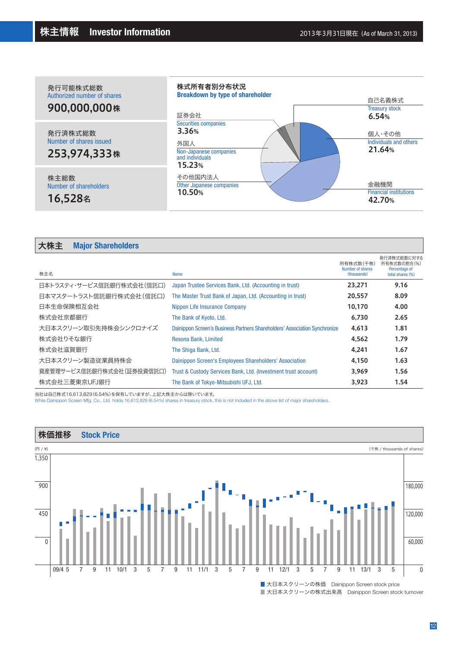

# 大株主 **Major Shareholders**

| 株主名                       | <b>Name</b>                                                                | 所有株式数(千株)<br>Number of shares<br>(thousands) | 発行済株式総数に対する<br>所有株式数の割合(%)<br>Percentage of<br>total shares (%) |
|---------------------------|----------------------------------------------------------------------------|----------------------------------------------|-----------------------------------------------------------------|
| 日本トラスティ・サービス信託銀行株式会社(信託口) | Japan Trustee Services Bank, Ltd. (Accounting in trust)                    | 23.271                                       | 9.16                                                            |
| 日本マスタートラスト信託銀行株式会社(信託口)   | The Master Trust Bank of Japan, Ltd. (Accounting in trust)                 | 20.557                                       | 8.09                                                            |
| 日本生命保険相互会社                | Nippon Life Insurance Company                                              | 10.170                                       | 4.00                                                            |
| 株式会社京都銀行                  | The Bank of Kyoto, Ltd.                                                    | 6.730                                        | 2.65                                                            |
| 大日本スクリーン取引先持株会シンクロナイズ     | Dainippon Screen's Business Partners Shareholders' Association Synchronize | 4.613                                        | 1.81                                                            |
| 株式会社りそな銀行                 | Resona Bank, Limited                                                       | 4,562                                        | 1.79                                                            |
| 株式会社滋賀銀行                  | The Shiga Bank, Ltd.                                                       | 4.241                                        | 1.67                                                            |
| 大日本スクリーン製造従業員持株会          | Dainippon Screen's Employees Shareholders' Association                     | 4.150                                        | 1.63                                                            |
| 資産管理サービス信託銀行株式会社(証券投資信託口) | Trust & Custody Services Bank, Ltd. (Investment trust account)             | 3,969                                        | 1.56                                                            |
| 株式会社三菱東京UFJ銀行             | The Bank of Tokyo-Mitsubishi UFJ, Ltd.                                     | 3,923                                        | 1.54                                                            |

当社は自己株式16,613,829(6.54%)を保有していますが、上記大株主からは除いています。

While Dainippon Screen Mfg. Co., Ltd. holds 16,613,829 (6.54%) shares in treasury stock, this is not included in the above list of major shareholders.

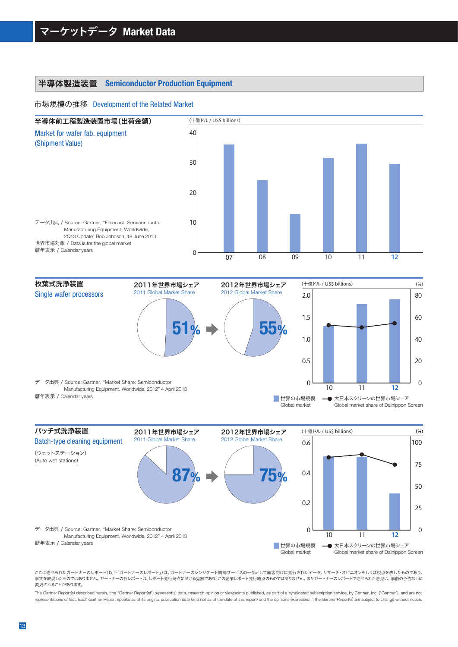# 半導体製造装置 **Semiconductor Production Equipment**

#### 市場規模の推移 Development of the Related Market



10 11 12 0.5 1.0 2.0 1.5  $\Omega$ バッチ式洗浄装置 2011年世界市場シェア 2011年世界市場シェア 2011 Global Market Share 枚葉式洗浄装置 Single wafer processors **51%** 2012年世界市場シェア 2012年世界市場シェア 2012 Global Market Share **55%** (十億ドル / US\$ billions) (%)  $20$ 40 80 60  $\Omega$ 世界の市場規模 Global market → 大日本スクリーンの世界市場シェア Global market share of Dainippon Screen (%) データ出典 / Source: Gartner, Technical Semiconductor<br>
将牛夫元 / Catar into the Substantial Schutz and Schutz and Schutz and Schutz and Schutz and Schutz and Schutz and Schutz and Schutz and Schutz and Schutz and Schutz and Sch データ出典 / Source: Gartner, "Market Share: Semiconductor Manufacturing Equipment, Worldwide, 2012" 4 April 2013 暦年表示 / Calendar years



ここに述べられたガートナーのレポート(以下「ガートナーのレポート」)は、ガートナーのシンジケート購読サービスの一部として顧客向けに発行されたデータ、リサーチ・オピニオンもしくは視点を表したものであり、 事実を表現したものではありません。ガートナーの各レポートは、レポート発行時点における見解であり、この企業レポート発行時点のものではありません。またガートナーのレポートで述べられた意見は、事前の予告なしに 変更されることがあります。

The Gartner Report(s) described herein, (the "Gartner Report(s)") represent(s) data, research opinion or viewpoints published, as part of a syndicated subscription service, by Gartner, Inc. ("Gartner"), and are not representations of fact. Each Gartner Report speaks as of its original publication date (and not as of the date of this report) and the opinions expressed in the Gartner Report(s) are subject to change without notice.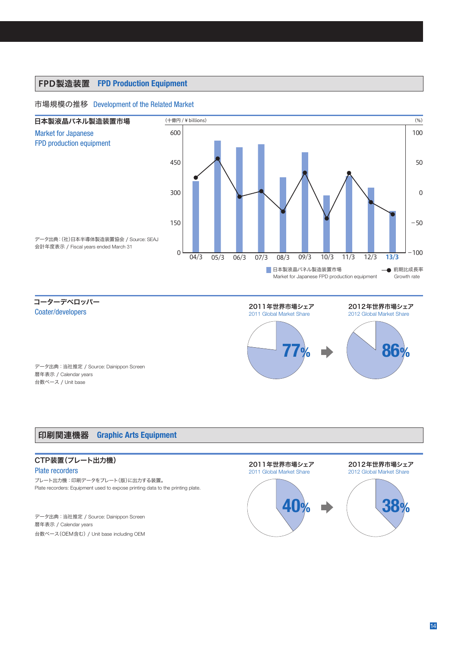# FPD製造装置 **FPD Production Equipment**

## 市場規模の推移 Development of the Related Market



コーターデベロッパー Coater/developers



データ出典:当社推定 / Source: Dainippon Screen 暦年表示 / Calendar years 台数ベース / Unit base

# 印刷関連機器 **Graphic Arts Equipment**

# CTP装置(プレート出力機)

### Plate recorders

プレート出力機:印刷データをプレート(版)に出力する装置。 Plate recorders: Equipment used to expose printing data to the printing plate.

データ出典:当社推定 / Source: Dainippon Screen 暦年表示 / Calendar years 台数ベース(OEM含む) / Unit base including OEM

# 2011年世界市場シェア



#### 2012年世界市場シェア 2012 Global Market Share